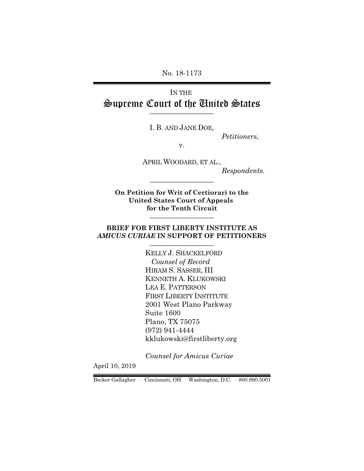No. 18-1173

## IN THE Supreme Court of the United States  $\overline{\phantom{a}}$  , where  $\overline{\phantom{a}}$

I. B. AND JANE DOE,

*Petitioners*,

v.

APRIL WOODARD, ET AL., *Respondents.*

**On Petition for Writ of Certiorari to the United States Court of Appeals for the Tenth Circuit**  $\_$ 

 $\_$ 

#### **BRIEF FOR FIRST LIBERTY INSTITUTE AS** *AMICUS CURIAE* **IN SUPPORT OF PETITIONERS** \_\_\_\_\_\_\_\_\_\_\_\_\_\_\_\_\_\_

KELLY J. SHACKELFORD  *Counsel of Record* HIRAM S. SASSER, III KENNETH A. KLUKOWSKI LEA E. PATTERSON FIRST LIBERTY INSTITUTE 2001 West Plano Parkway Suite 1600 Plano, TX 75075 (972) 941-4444 kklukowski@firstliberty.org

*Counsel for Amicus Curiae*

April 10, 2019

Becker Gallagher · Cincinnati, OH · Washington, D.C. · 800.890.5001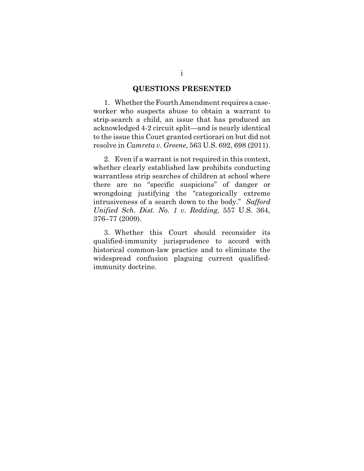#### **QUESTIONS PRESENTED**

1. Whether the Fourth Amendment requires a caseworker who suspects abuse to obtain a warrant to strip-search a child, an issue that has produced an acknowledged 4-2 circuit split—and is nearly identical to the issue this Court granted certiorari on but did not resolve in *Camreta v. Greene*, 563 U.S. 692, 698 (2011).

2. Even if a warrant is not required in this context, whether clearly established law prohibits conducting warrantless strip searches of children at school where there are no "specific suspicions" of danger or wrongdoing justifying the "categorically extreme intrusiveness of a search down to the body." *Safford Unified Sch. Dist. No. 1 v. Redding*, 557 U.S. 364, 376–77 (2009).

3. Whether this Court should reconsider its qualified-immunity jurisprudence to accord with historical common-law practice and to eliminate the widespread confusion plaguing current qualifiedimmunity doctrine.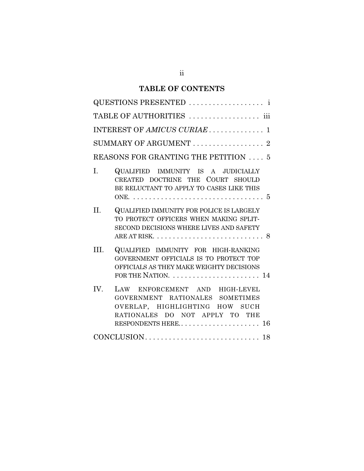# **TABLE OF CONTENTS**

| QUESTIONS PRESENTED  i                                                                                                                                                                                                             |
|------------------------------------------------------------------------------------------------------------------------------------------------------------------------------------------------------------------------------------|
| TABLE OF AUTHORITIES  iii                                                                                                                                                                                                          |
| INTEREST OF AMICUS CURIAE 1                                                                                                                                                                                                        |
| SUMMARY OF ARGUMENT  2                                                                                                                                                                                                             |
| REASONS FOR GRANTING THE PETITION  5                                                                                                                                                                                               |
| I.<br>QUALIFIED IMMUNITY IS A JUDICIALLY<br>CREATED DOCTRINE THE COURT SHOULD<br>BE RELUCTANT TO APPLY TO CASES LIKE THIS                                                                                                          |
| $\Pi$ .<br><b>QUALIFIED IMMUNITY FOR POLICE IS LARGELY</b><br>TO PROTECT OFFICERS WHEN MAKING SPLIT-<br>SECOND DECISIONS WHERE LIVES AND SAFETY<br>ARE AT RISK. $\ldots \ldots \ldots \ldots \ldots \ldots \ldots \ldots \ldots 8$ |
| III.<br>QUALIFIED IMMUNITY FOR HIGH-RANKING<br>GOVERNMENT OFFICIALS IS TO PROTECT TOP<br>OFFICIALS AS THEY MAKE WEIGHTY DECISIONS<br>FOR THE NATION. $\ldots \ldots \ldots \ldots \ldots \ldots 14$                                |
| IV.<br>LAW ENFORCEMENT AND HIGH-LEVEL<br>GOVERNMENT RATIONALES SOMETIMES<br>OVERLAP, HIGHLIGHTING HOW SUCH<br>RATIONALES DO NOT APPLY TO THE                                                                                       |
|                                                                                                                                                                                                                                    |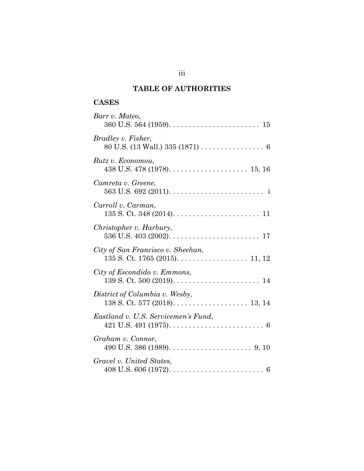## **TABLE OF AUTHORITIES**

## **CASES**

| Barr v. Mateo,                                                                                       |
|------------------------------------------------------------------------------------------------------|
| <i>Bradley v. Fisher,</i><br>80 U.S. (13 Wall.) 335 (1871) 6                                         |
| Butz v. Economou,                                                                                    |
| Camreta v. Greene,                                                                                   |
| Carroll v. Carman,                                                                                   |
| Christopher v. Harbury,                                                                              |
| City of San Francisco v. Sheehan,                                                                    |
| City of Escondido v. Emmons,<br>$139 S. Ct. 500 (2019) \ldots \ldots \ldots \ldots \ldots \ldots 14$ |
| District of Columbia v. Wesby,                                                                       |
| Eastland v. U.S. Servicemen's Fund,                                                                  |
| Graham v. Connor,                                                                                    |
| Gravel v. United States,                                                                             |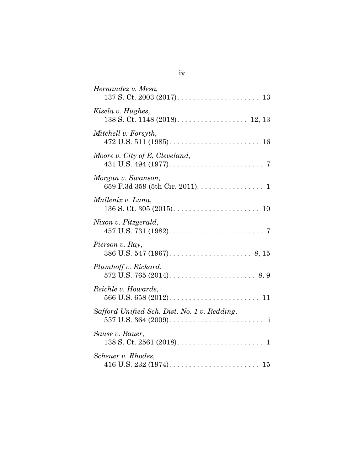| Hernandez v. Mesa,                                                                        |
|-------------------------------------------------------------------------------------------|
| Kisela v. Hughes,                                                                         |
| Mitchell v. Forsyth,                                                                      |
| Moore v. City of E. Cleveland,                                                            |
| Morgan v. Swanson,<br>659 F.3d 359 (5th Cir. 2011). $\dots \dots \dots \dots \dots \dots$ |
| Mullenix v. Luna,                                                                         |
| Nixon v. Fitzgerald,                                                                      |
| Pierson v. Ray,                                                                           |
| Plumhoff v. Rickard,                                                                      |
| Reichle v. Howards,                                                                       |
| Safford Unified Sch. Dist. No. 1 v. Redding,                                              |
| Sause v. Bauer,                                                                           |
| Scheuer v. Rhodes,                                                                        |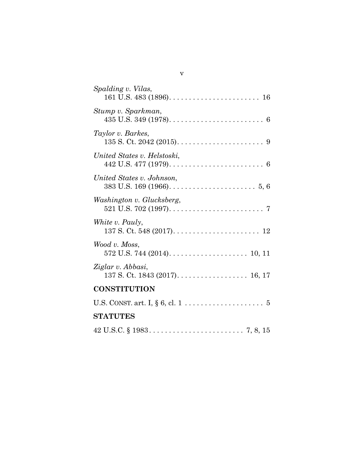| Spalding v. Vilas,          |
|-----------------------------|
|                             |
| Stump v. Sparkman,          |
| Taylor v. Barkes,           |
| United States v. Helstoski, |
| United States v. Johnson,   |
| Washington v. Glucksberg,   |
| White v. Pauly,             |
| Wood v. Moss,               |
| Ziglar v. Abbasi,           |
| <b>CONSTITUTION</b>         |
|                             |
| <b>STATUTES</b>             |
|                             |

v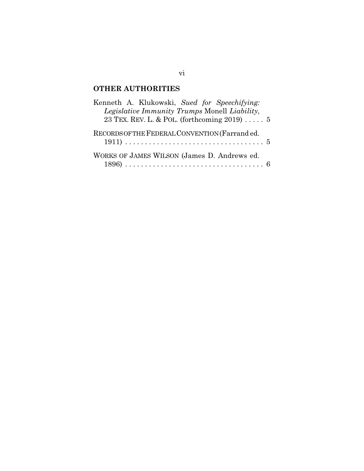# **OTHER AUTHORITIES**

| Kenneth A. Klukowski, Sued for Speechifying:    |
|-------------------------------------------------|
| Legislative Immunity Trumps Monell Liability,   |
| 23 TEX. REV. L. & POL. (forthcoming $2019$ )  5 |
| RECORDS OF THE FEDERAL CONVENTION (Farrand ed.  |
| WORKS OF JAMES WILSON (James D. Andrews ed.     |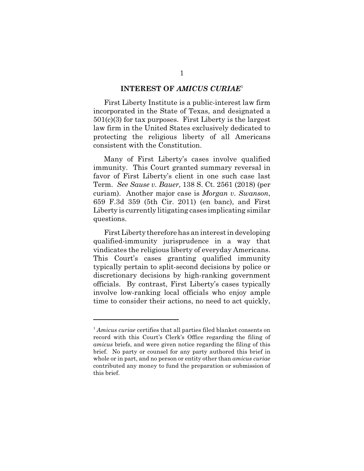#### **INTEREST OF** *AMICUS CURIAE*<sup>1</sup>

First Liberty Institute is a public-interest law firm incorporated in the State of Texas, and designated a 501(c)(3) for tax purposes. First Liberty is the largest law firm in the United States exclusively dedicated to protecting the religious liberty of all Americans consistent with the Constitution.

Many of First Liberty's cases involve qualified immunity. This Court granted summary reversal in favor of First Liberty's client in one such case last Term. *See Sause v. Bauer*, 138 S. Ct. 2561 (2018) (per curiam). Another major case is *Morgan v. Swanson*, 659 F.3d 359 (5th Cir. 2011) (en banc), and First Liberty is currently litigating cases implicating similar questions.

First Liberty therefore has an interest in developing qualified-immunity jurisprudence in a way that vindicates the religious liberty of everyday Americans. This Court's cases granting qualified immunity typically pertain to split-second decisions by police or discretionary decisions by high-ranking government officials. By contrast, First Liberty's cases typically involve low-ranking local officials who enjoy ample time to consider their actions, no need to act quickly,

<sup>1</sup> *Amicus curiae* certifies that all parties filed blanket consents on record with this Court's Clerk's Office regarding the filing of *amicus* briefs, and were given notice regarding the filing of this brief. No party or counsel for any party authored this brief in whole or in part, and no person or entity other than *amicus curiae* contributed any money to fund the preparation or submission of this brief.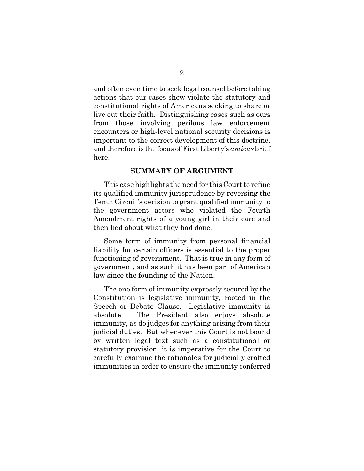and often even time to seek legal counsel before taking actions that our cases show violate the statutory and constitutional rights of Americans seeking to share or live out their faith. Distinguishing cases such as ours from those involving perilous law enforcement encounters or high-level national security decisions is important to the correct development of this doctrine, and therefore is the focus of First Liberty's *amicus* brief here.

### **SUMMARY OF ARGUMENT**

This case highlights the need for this Court to refine its qualified immunity jurisprudence by reversing the Tenth Circuit's decision to grant qualified immunity to the government actors who violated the Fourth Amendment rights of a young girl in their care and then lied about what they had done.

Some form of immunity from personal financial liability for certain officers is essential to the proper functioning of government. That is true in any form of government, and as such it has been part of American law since the founding of the Nation.

The one form of immunity expressly secured by the Constitution is legislative immunity, rooted in the Speech or Debate Clause. Legislative immunity is absolute. The President also enjoys absolute immunity, as do judges for anything arising from their judicial duties. But whenever this Court is not bound by written legal text such as a constitutional or statutory provision, it is imperative for the Court to carefully examine the rationales for judicially crafted immunities in order to ensure the immunity conferred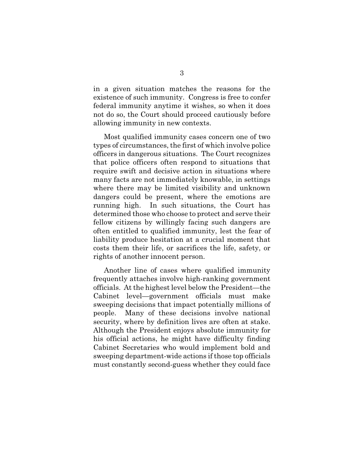in a given situation matches the reasons for the existence of such immunity. Congress is free to confer federal immunity anytime it wishes, so when it does not do so, the Court should proceed cautiously before allowing immunity in new contexts.

Most qualified immunity cases concern one of two types of circumstances, the first of which involve police officers in dangerous situations. The Court recognizes that police officers often respond to situations that require swift and decisive action in situations where many facts are not immediately knowable, in settings where there may be limited visibility and unknown dangers could be present, where the emotions are running high. In such situations, the Court has determined those who choose to protect and serve their fellow citizens by willingly facing such dangers are often entitled to qualified immunity, lest the fear of liability produce hesitation at a crucial moment that costs them their life, or sacrifices the life, safety, or rights of another innocent person.

Another line of cases where qualified immunity frequently attaches involve high-ranking government officials. At the highest level below the President—the Cabinet level—government officials must make sweeping decisions that impact potentially millions of people. Many of these decisions involve national security, where by definition lives are often at stake. Although the President enjoys absolute immunity for his official actions, he might have difficulty finding Cabinet Secretaries who would implement bold and sweeping department-wide actions if those top officials must constantly second-guess whether they could face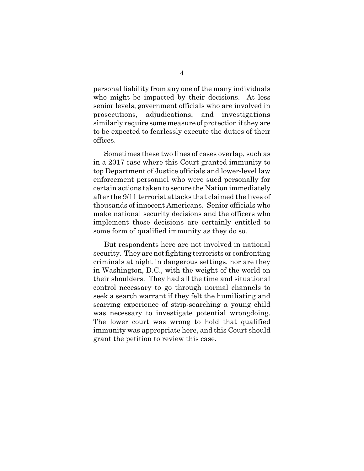personal liability from any one of the many individuals who might be impacted by their decisions. At less senior levels, government officials who are involved in prosecutions, adjudications, and investigations similarly require some measure of protection if they are to be expected to fearlessly execute the duties of their offices.

Sometimes these two lines of cases overlap, such as in a 2017 case where this Court granted immunity to top Department of Justice officials and lower-level law enforcement personnel who were sued personally for certain actions taken to secure the Nation immediately after the 9/11 terrorist attacks that claimed the lives of thousands of innocent Americans. Senior officials who make national security decisions and the officers who implement those decisions are certainly entitled to some form of qualified immunity as they do so.

But respondents here are not involved in national security. They are not fighting terrorists or confronting criminals at night in dangerous settings, nor are they in Washington, D.C., with the weight of the world on their shoulders. They had all the time and situational control necessary to go through normal channels to seek a search warrant if they felt the humiliating and scarring experience of strip-searching a young child was necessary to investigate potential wrongdoing. The lower court was wrong to hold that qualified immunity was appropriate here, and this Court should grant the petition to review this case.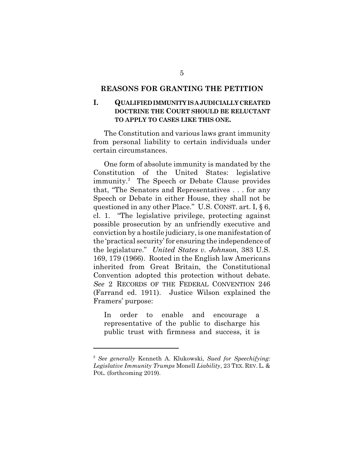#### **REASONS FOR GRANTING THE PETITION**

### **I. QUALIFIED IMMUNITY IS A JUDICIALLY CREATED DOCTRINE THE COURT SHOULD BE RELUCTANT TO APPLY TO CASES LIKE THIS ONE.**

The Constitution and various laws grant immunity from personal liability to certain individuals under certain circumstances.

One form of absolute immunity is mandated by the Constitution of the United States: legislative immunity.<sup>2</sup> The Speech or Debate Clause provides that, "The Senators and Representatives . . . for any Speech or Debate in either House, they shall not be questioned in any other Place." U.S. CONST. art. I, § 6, cl. 1. "The legislative privilege, protecting against possible prosecution by an unfriendly executive and conviction by a hostile judiciary, is one manifestation of the 'practical security' for ensuring the independence of the legislature." *United States v. Johnson*, 383 U.S. 169, 179 (1966). Rooted in the English law Americans inherited from Great Britain, the Constitutional Convention adopted this protection without debate. *See* 2 RECORDS OF THE FEDERAL CONVENTION 246 (Farrand ed. 1911). Justice Wilson explained the Framers' purpose:

In order to enable and encourage a representative of the public to discharge his public trust with firmness and success, it is

<sup>2</sup> *See generally* Kenneth A. Klukowski, *Sued for Speechifying: Legislative Immunity Trumps* Monell *Liability*, 23 TEX. REV. L. & POL. (forthcoming 2019).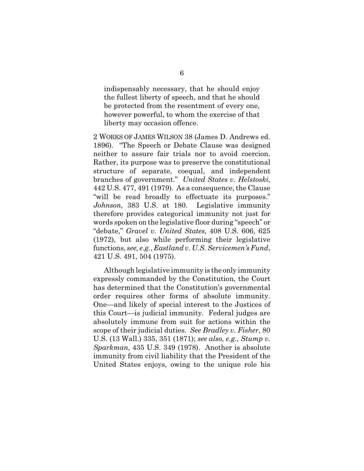indispensably necessary, that he should enjoy the fullest liberty of speech, and that he should be protected from the resentment of every one, however powerful, to whom the exercise of that liberty may occasion offence.

2 WORKS OF JAMES WILSON 38 (James D. Andrews ed. 1896). "The Speech or Debate Clause was designed neither to assure fair trials nor to avoid coercion. Rather, its purpose was to preserve the constitutional structure of separate, coequal, and independent branches of government." *United States v. Helstoski*, 442 U.S. 477, 491 (1979). As a consequence, the Clause "will be read broadly to effectuate its purposes." *Johnson*, 383 U.S. at 180. Legislative immunity therefore provides categorical immunity not just for words spoken on the legislative floor during "speech" or "debate," *Gravel v. United States*, 408 U.S. 606, 625 (1972), but also while performing their legislative functions, *see, e.g.*, *Eastland v. U.S. Servicemen's Fund*, 421 U.S. 491, 504 (1975).

Although legislative immunity is the only immunity expressly commanded by the Constitution, the Court has determined that the Constitution's governmental order requires other forms of absolute immunity. One—and likely of special interest to the Justices of this Court—is judicial immunity. Federal judges are absolutely immune from suit for actions within the scope of their judicial duties. *See Bradley v. Fisher*, 80 U.S. (13 Wall.) 335, 351 (1871); *see also, e.g.*, *Stump v. Sparkman*, 435 U.S. 349 (1978). Another is absolute immunity from civil liability that the President of the United States enjoys, owing to the unique role his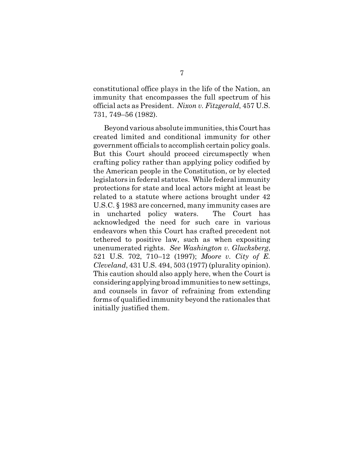constitutional office plays in the life of the Nation, an immunity that encompasses the full spectrum of his official acts as President. *Nixon v. Fitzgerald*, 457 U.S. 731, 749–56 (1982).

Beyond various absolute immunities, this Court has created limited and conditional immunity for other government officials to accomplish certain policy goals. But this Court should proceed circumspectly when crafting policy rather than applying policy codified by the American people in the Constitution, or by elected legislators in federal statutes. While federal immunity protections for state and local actors might at least be related to a statute where actions brought under 42 U.S.C. § 1983 are concerned, many immunity cases are in uncharted policy waters. The Court has acknowledged the need for such care in various endeavors when this Court has crafted precedent not tethered to positive law, such as when expositing unenumerated rights. *See Washington v. Glucksberg*, 521 U.S. 702, 710–12 (1997); *Moore v. City of E. Cleveland*, 431 U.S. 494, 503 (1977) (plurality opinion). This caution should also apply here, when the Court is considering applying broad immunities to new settings, and counsels in favor of refraining from extending forms of qualified immunity beyond the rationales that initially justified them.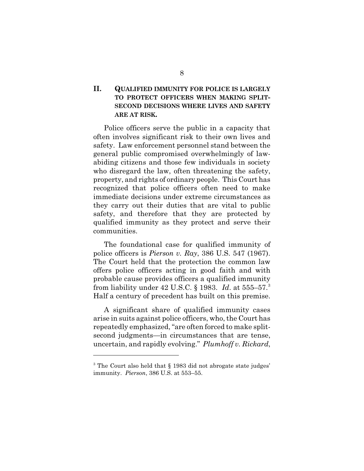### **II. QUALIFIED IMMUNITY FOR POLICE IS LARGELY TO PROTECT OFFICERS WHEN MAKING SPLIT-SECOND DECISIONS WHERE LIVES AND SAFETY ARE AT RISK.**

Police officers serve the public in a capacity that often involves significant risk to their own lives and safety. Law enforcement personnel stand between the general public compromised overwhelmingly of lawabiding citizens and those few individuals in society who disregard the law, often threatening the safety, property, and rights of ordinary people. This Court has recognized that police officers often need to make immediate decisions under extreme circumstances as they carry out their duties that are vital to public safety, and therefore that they are protected by qualified immunity as they protect and serve their communities.

The foundational case for qualified immunity of police officers is *Pierson v. Ray*, 386 U.S. 547 (1967). The Court held that the protection the common law offers police officers acting in good faith and with probable cause provides officers a qualified immunity from liability under 42 U.S.C. § 1983. *Id*. at 555–57.<sup>3</sup> Half a century of precedent has built on this premise.

A significant share of qualified immunity cases arise in suits against police officers, who, the Court has repeatedly emphasized, "are often forced to make splitsecond judgments—in circumstances that are tense, uncertain, and rapidly evolving." *Plumhoff v. Rickard*,

<sup>&</sup>lt;sup>3</sup> The Court also held that § 1983 did not abrogate state judges' immunity. *Pierson*, 386 U.S. at 553–55.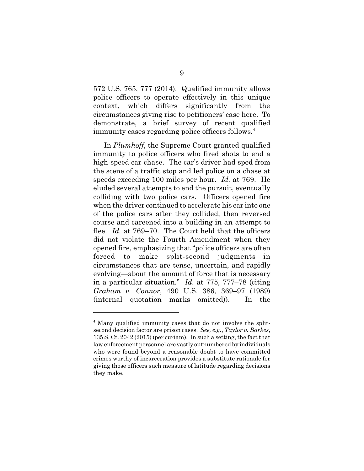572 U.S. 765, 777 (2014). Qualified immunity allows police officers to operate effectively in this unique context, which differs significantly from the circumstances giving rise to petitioners' case here. To demonstrate, a brief survey of recent qualified immunity cases regarding police officers follows.<sup>4</sup>

In *Plumhoff*, the Supreme Court granted qualified immunity to police officers who fired shots to end a high-speed car chase. The car's driver had sped from the scene of a traffic stop and led police on a chase at speeds exceeding 100 miles per hour. *Id.* at 769. He eluded several attempts to end the pursuit, eventually colliding with two police cars. Officers opened fire when the driver continued to accelerate his car into one of the police cars after they collided, then reversed course and careened into a building in an attempt to flee. *Id.* at 769–70.The Court held that the officers did not violate the Fourth Amendment when they opened fire, emphasizing that "police officers are often forced to make split-second judgments—in circumstances that are tense, uncertain, and rapidly evolving—about the amount of force that is necessary in a particular situation." *Id.* at 775, 777–78 (citing *Graham v. Connor*, 490 U.S. 386, 369–97 (1989) (internal quotation marks omitted)). In the

<sup>&</sup>lt;sup>4</sup> Many qualified immunity cases that do not involve the splitsecond decision factor are prison cases. *See, e.g.*, *Taylor v. Barkes*, 135 S. Ct. 2042 (2015) (per curiam). In such a setting, the fact that law enforcement personnel are vastly outnumbered by individuals who were found beyond a reasonable doubt to have committed crimes worthy of incarceration provides a substitute rationale for giving those officers such measure of latitude regarding decisions they make.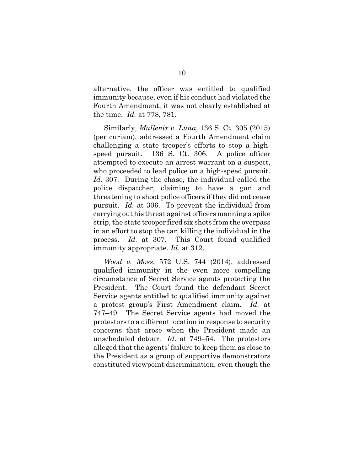alternative, the officer was entitled to qualified immunity because, even if his conduct had violated the Fourth Amendment, it was not clearly established at the time. *Id.* at 778, 781.

Similarly, *Mullenix v. Luna*, 136 S. Ct. 305 (2015) (per curiam), addressed a Fourth Amendment claim challenging a state trooper's efforts to stop a highspeed pursuit. 136 S. Ct. 306. A police officer attempted to execute an arrest warrant on a suspect, who proceeded to lead police on a high-speed pursuit. *Id.* 307. During the chase, the individual called the police dispatcher, claiming to have a gun and threatening to shoot police officers if they did not cease pursuit. *Id.* at 306. To prevent the individual from carrying out his threat against officers manning a spike strip, the state trooper fired six shots from the overpass in an effort to stop the car, killing the individual in the process. *Id.* at 307. This Court found qualified immunity appropriate. *Id.* at 312.

*Wood v. Moss*, 572 U.S. 744 (2014), addressed qualified immunity in the even more compelling circumstance of Secret Service agents protecting the President. The Court found the defendant Secret Service agents entitled to qualified immunity against a protest group's First Amendment claim. *Id.* at 747–49. The Secret Service agents had moved the protestors to a different location in response to security concerns that arose when the President made an unscheduled detour. *Id.* at 749–54. The protestors alleged that the agents' failure to keep them as close to the President as a group of supportive demonstrators constituted viewpoint discrimination, even though the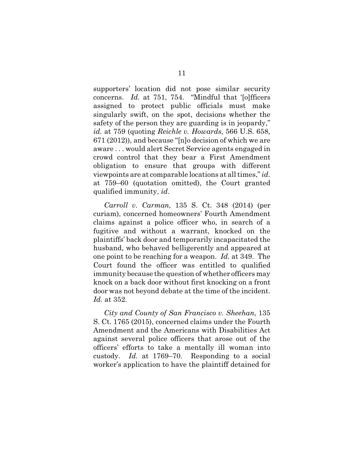supporters' location did not pose similar security concerns. *Id.* at 751, 754. "Mindful that '[o]fficers assigned to protect public officials must make singularly swift, on the spot, decisions whether the safety of the person they are guarding is in jeopardy," *id.* at 759 (quoting *Reichle v. Howards*, 566 U.S. 658, 671 (2012)), and because "[n]o decision of which we are aware . . . would alert Secret Service agents engaged in crowd control that they bear a First Amendment obligation to ensure that groups with different viewpoints are at comparable locations at all times," *id.* at 759–60 (quotation omitted), the Court granted qualified immunity, *id*.

*Carroll v. Carman*, 135 S. Ct. 348 (2014) (per curiam), concerned homeowners' Fourth Amendment claims against a police officer who, in search of a fugitive and without a warrant, knocked on the plaintiffs' back door and temporarily incapacitated the husband, who behaved belligerently and appeared at one point to be reaching for a weapon. *Id.* at 349. The Court found the officer was entitled to qualified immunity because the question of whether officers may knock on a back door without first knocking on a front door was not beyond debate at the time of the incident. *Id.* at 352.

*City and County of San Francisco v. Sheehan*, 135 S. Ct. 1765 (2015), concerned claims under the Fourth Amendment and the Americans with Disabilities Act against several police officers that arose out of the officers' efforts to take a mentally ill woman into custody. *Id.* at 1769–70. Responding to a social worker's application to have the plaintiff detained for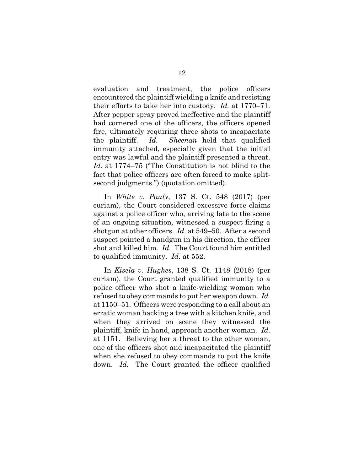evaluation and treatment, the police officers encountered the plaintiff wielding a knife and resisting their efforts to take her into custody. *Id.* at 1770–71. After pepper spray proved ineffective and the plaintiff had cornered one of the officers, the officers opened fire, ultimately requiring three shots to incapacitate the plaintiff. *Id. Sheenan* held that qualified immunity attached, especially given that the initial entry was lawful and the plaintiff presented a threat. *Id.* at 1774–75 ("The Constitution is not blind to the fact that police officers are often forced to make splitsecond judgments.") (quotation omitted).

In *White v. Pauly*, 137 S. Ct. 548 (2017) (per curiam), the Court considered excessive force claims against a police officer who, arriving late to the scene of an ongoing situation, witnessed a suspect firing a shotgun at other officers. *Id.* at 549–50. After a second suspect pointed a handgun in his direction, the officer shot and killed him. *Id.* The Court found him entitled to qualified immunity. *Id.* at 552.

In *Kisela v. Hughes*, 138 S. Ct. 1148 (2018) (per curiam), the Court granted qualified immunity to a police officer who shot a knife-wielding woman who refused to obey commands to put her weapon down. *Id.* at 1150–51. Officers were responding to a call about an erratic woman hacking a tree with a kitchen knife, and when they arrived on scene they witnessed the plaintiff, knife in hand, approach another woman. *Id.* at 1151. Believing her a threat to the other woman, one of the officers shot and incapacitated the plaintiff when she refused to obey commands to put the knife down. *Id.* The Court granted the officer qualified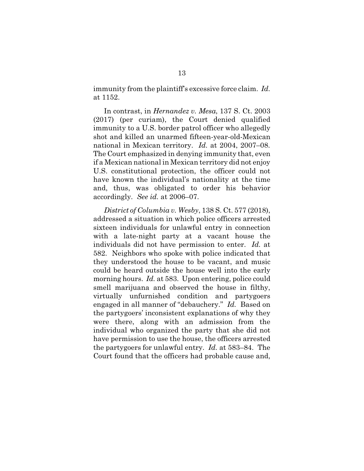immunity from the plaintiff's excessive force claim. *Id.* at 1152.

In contrast, in *Hernandez v. Mesa*, 137 S. Ct. 2003 (2017) (per curiam), the Court denied qualified immunity to a U.S. border patrol officer who allegedly shot and killed an unarmed fifteen-year-old-Mexican national in Mexican territory. *Id.* at 2004, 2007–08. The Court emphasized in denying immunity that, even if a Mexican national in Mexican territory did not enjoy U.S. constitutional protection, the officer could not have known the individual's nationality at the time and, thus, was obligated to order his behavior accordingly. *See id.* at 2006–07.

*District of Columbia v. Wesby*, 138 S. Ct. 577 (2018), addressed a situation in which police officers arrested sixteen individuals for unlawful entry in connection with a late-night party at a vacant house the individuals did not have permission to enter. *Id.* at 582. Neighbors who spoke with police indicated that they understood the house to be vacant, and music could be heard outside the house well into the early morning hours. *Id.* at 583. Upon entering, police could smell marijuana and observed the house in filthy, virtually unfurnished condition and partygoers engaged in all manner of "debauchery." *Id.* Based on the partygoers' inconsistent explanations of why they were there, along with an admission from the individual who organized the party that she did not have permission to use the house, the officers arrested the partygoers for unlawful entry. *Id.* at 583–84. The Court found that the officers had probable cause and,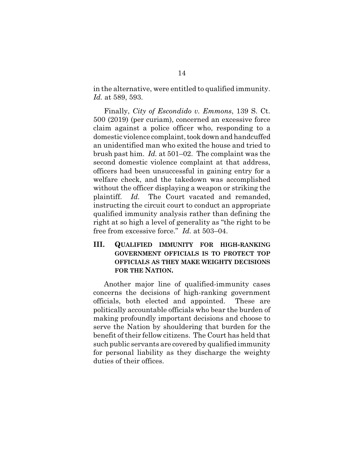in the alternative, were entitled to qualified immunity. *Id.* at 589, 593.

Finally, *City of Escondido v. Emmons*, 139 S. Ct. 500 (2019) (per curiam), concerned an excessive force claim against a police officer who, responding to a domestic violence complaint, took down and handcuffed an unidentified man who exited the house and tried to brush past him. *Id.* at 501–02. The complaint was the second domestic violence complaint at that address, officers had been unsuccessful in gaining entry for a welfare check, and the takedown was accomplished without the officer displaying a weapon or striking the plaintiff. *Id.* The Court vacated and remanded, instructing the circuit court to conduct an appropriate qualified immunity analysis rather than defining the right at so high a level of generality as "the right to be free from excessive force." *Id.* at 503–04.

**III. QUALIFIED IMMUNITY FOR HIGH-RANKING GOVERNMENT OFFICIALS IS TO PROTECT TOP OFFICIALS AS THEY MAKE WEIGHTY DECISIONS FOR THE NATION.**

Another major line of qualified-immunity cases concerns the decisions of high-ranking government officials, both elected and appointed. These are politically accountable officials who bear the burden of making profoundly important decisions and choose to serve the Nation by shouldering that burden for the benefit of their fellow citizens. The Court has held that such public servants are covered by qualified immunity for personal liability as they discharge the weighty duties of their offices.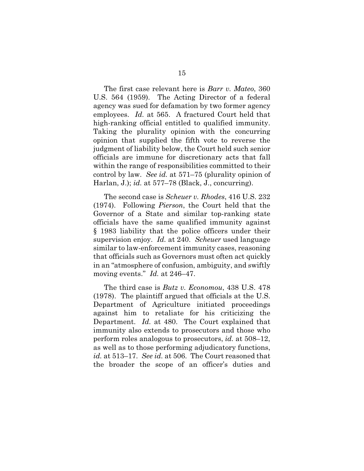The first case relevant here is *Barr v. Mateo*, 360 U.S. 564 (1959). The Acting Director of a federal agency was sued for defamation by two former agency employees. *Id.* at 565. A fractured Court held that high-ranking official entitled to qualified immunity. Taking the plurality opinion with the concurring opinion that supplied the fifth vote to reverse the judgment of liability below, the Court held such senior officials are immune for discretionary acts that fall within the range of responsibilities committed to their control by law. *See id.* at 571–75 (plurality opinion of Harlan, J.); *id.* at 577–78 (Black, J., concurring).

The second case is *Scheuer v. Rhodes*, 416 U.S. 232 (1974). Following *Pierson*, the Court held that the Governor of a State and similar top-ranking state officials have the same qualified immunity against § 1983 liability that the police officers under their supervision enjoy. *Id.* at 240. *Scheuer* used language similar to law-enforcement immunity cases, reasoning that officials such as Governors must often act quickly in an "atmosphere of confusion, ambiguity, and swiftly moving events." *Id.* at 246–47.

The third case is *Butz v. Economou*, 438 U.S. 478 (1978). The plaintiff argued that officials at the U.S. Department of Agriculture initiated proceedings against him to retaliate for his criticizing the Department. *Id.* at 480. The Court explained that immunity also extends to prosecutors and those who perform roles analogous to prosecutors, *id.* at 508–12, as well as to those performing adjudicatory functions, *id.* at 513–17. *See id.* at 506. The Court reasoned that the broader the scope of an officer's duties and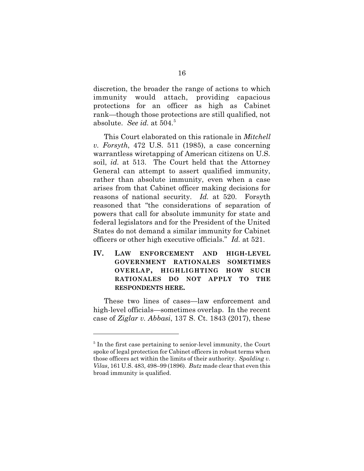discretion, the broader the range of actions to which immunity would attach, providing capacious protections for an officer as high as Cabinet rank—though those protections are still qualified, not absolute. *See id.* at 504.<sup>5</sup>

This Court elaborated on this rationale in *Mitchell v. Forsyth*, 472 U.S. 511 (1985), a case concerning warrantless wiretapping of American citizens on U.S. soil, *id.* at 513. The Court held that the Attorney General can attempt to assert qualified immunity, rather than absolute immunity, even when a case arises from that Cabinet officer making decisions for reasons of national security. *Id.* at 520. Forsyth reasoned that "the considerations of separation of powers that call for absolute immunity for state and federal legislators and for the President of the United States do not demand a similar immunity for Cabinet officers or other high executive officials." *Id.* at 521.

**IV. LAW ENFORCEMENT AND HIGH-LEVEL GOVERNMENT RATIONALES SOMETIMES OVERLAP, HIGHLIGHTING HOW SUCH RATIONALES DO NOT APPLY TO THE RESPONDENTS HERE.**

These two lines of cases—law enforcement and high-level officials—sometimes overlap. In the recent case of *Ziglar v. Abbasi*, 137 S. Ct. 1843 (2017), these

<sup>&</sup>lt;sup>5</sup> In the first case pertaining to senior-level immunity, the Court spoke of legal protection for Cabinet officers in robust terms when those officers act within the limits of their authority. *Spalding v. Vilas*, 161 U.S. 483, 498–99 (1896). *Butz* made clear that even this broad immunity is qualified.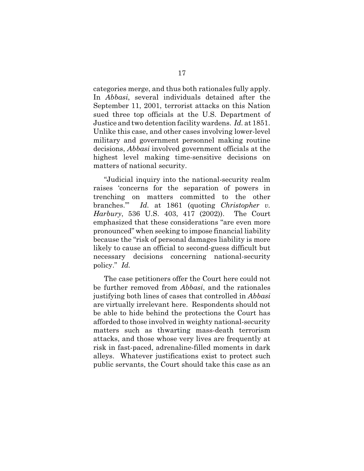categories merge, and thus both rationales fully apply. In *Abbasi*, several individuals detained after the September 11, 2001, terrorist attacks on this Nation sued three top officials at the U.S. Department of Justice and two detention facility wardens. *Id.* at 1851. Unlike this case, and other cases involving lower-level military and government personnel making routine decisions, *Abbasi* involved government officials at the highest level making time-sensitive decisions on matters of national security.

"Judicial inquiry into the national-security realm raises 'concerns for the separation of powers in trenching on matters committed to the other branches.'" *Id.* at 1861 (quoting *Christopher v. Harbury*, 536 U.S. 403, 417 (2002)). The Court emphasized that these considerations "are even more pronounced" when seeking to impose financial liability because the "risk of personal damages liability is more likely to cause an official to second-guess difficult but necessary decisions concerning national-security policy." *Id.*

The case petitioners offer the Court here could not be further removed from *Abbasi*, and the rationales justifying both lines of cases that controlled in *Abbasi* are virtually irrelevant here. Respondents should not be able to hide behind the protections the Court has afforded to those involved in weighty national-security matters such as thwarting mass-death terrorism attacks, and those whose very lives are frequently at risk in fast-paced, adrenaline-filled moments in dark alleys. Whatever justifications exist to protect such public servants, the Court should take this case as an